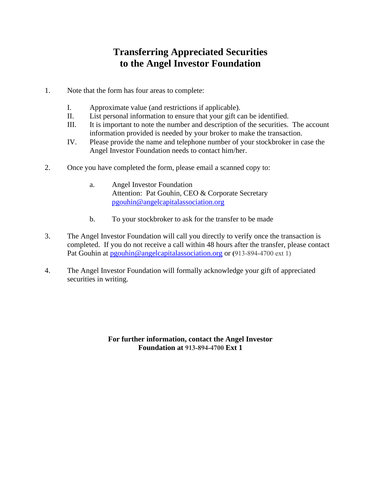## **Transferring Appreciated Securities to the Angel Investor Foundation**

- 1. Note that the form has four areas to complete:
	- I. Approximate value (and restrictions if applicable).
	- II. List personal information to ensure that your gift can be identified.
	- III. It is important to note the number and description of the securities. The account information provided is needed by your broker to make the transaction.
	- IV. Please provide the name and telephone number of your stockbroker in case the Angel Investor Foundation needs to contact him/her.
- 2. Once you have completed the form, please email a scanned copy to:
	- a. Angel Investor Foundation Attention: Pat Gouhin, CEO & Corporate Secretary [pgouhin@angelcapitalassociation.org](mailto:pgouhin@angelcapitalassociation.org)
	- b. To your stockbroker to ask for the transfer to be made
- 3. The Angel Investor Foundation will call you directly to verify once the transaction is completed. If you do not receive a call within 48 hours after the transfer, please contact Pat Gouhin at [pgouhin@angelcapitalassociation.org](mailto:pgouhin@angelcapitalassociation.org) or **(**913-894-4700 ext 1)
- 4. The Angel Investor Foundation will formally acknowledge your gift of appreciated securities in writing.

## **For further information, contact the Angel Investor Foundation at 913-894-4700 Ext 1**